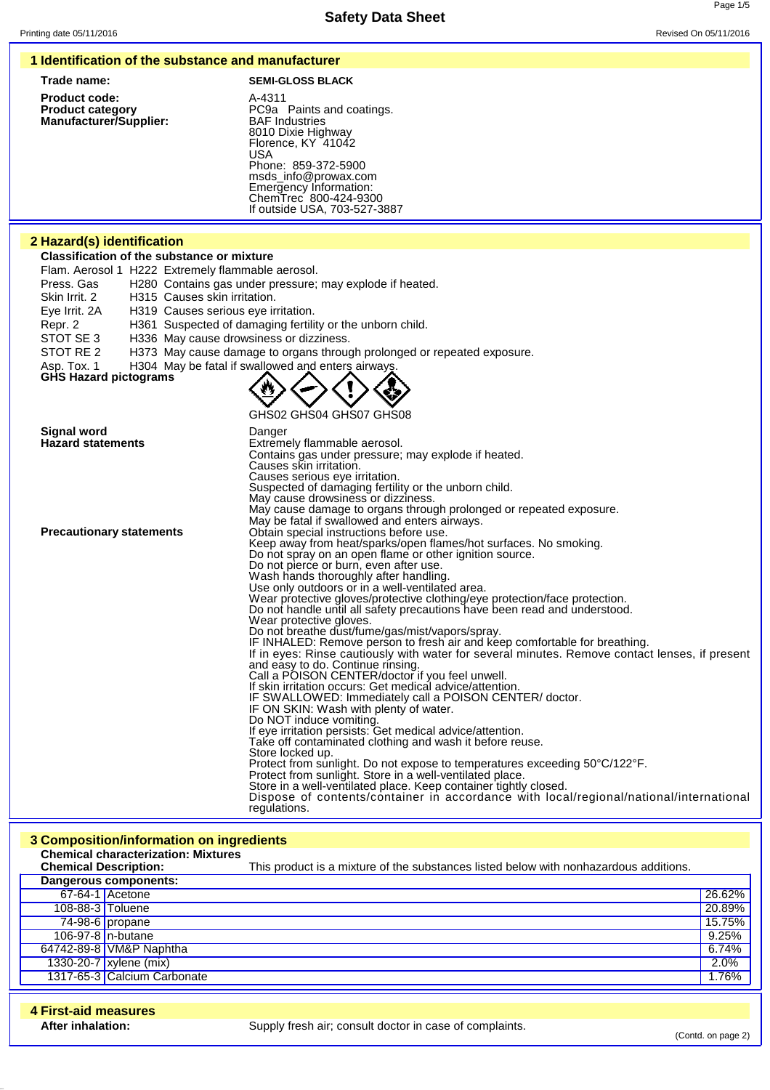## **Safety Data Sheet** Printing date 05/11/2016 **Revised On 05/11/2016** Revised On 05/11/2016 **1 Identification of the substance and manufacturer Trade name: SEMI-GLOSS BLACK Product code:** A-4311<br> **Product category** Entry RC9a PC9a Paints and coatings.<br>BAF Industries **Manufacturer/Supplier:** 8010 Dixie Highway Florence, KY 41042 **IJSA** Phone: 859-372-5900 msds\_info@prowax.com Emergency Information: ChemTrec 800-424-9300 If outside USA, 703-527-3887 **2 Hazard(s) identification Classification of the substance or mixture** Flam. Aerosol 1 H222 Extremely flammable aerosol. Press. Gas H280 Contains gas under pressure; may explode if heated. Skin Irrit. 2 H315 Causes skin irritation. Eye Irrit. 2A H319 Causes serious eye irritation. Repr. 2 H361 Suspected of damaging fertility or the unborn child.<br>STOT SE 3 H336 May cause drowsiness or dizziness. H336 May cause drowsiness or dizziness. STOT RE 2 H373 May cause damage to organs through prolonged or repeated exposure. Asp. Tox. 1 H304 May be fatal if swallowed and enters airway **GHS Hazard pictograms** GHS02 GHS04 GHS07 GHS08 **Signal word**<br> **Bazard statements**<br> **Extrements**<br> **Extrements Extremely flammable aerosol.** Contains gas under pressure; may explode if heated. Causes skin irritation. Causes serious eye irritation. Suspected of damaging fertility or the unborn child. May cause drowsiness or dizziness. May cause damage to organs through prolonged or repeated exposure. May be fatal if swallowed and enters airways. **Precautionary statements Obtain special instructions before use.** Keep away from heat/sparks/open flames/hot surfaces. No smoking. Do not spray on an open flame or other ignition source. Do not pierce or burn, even after use. Wash hands thoroughly after handling. Use only outdoors or in a well-ventilated area. Wear protective gloves/protective clothing/eye protection/face protection. Do not handle until all safety precautions have been read and understood. Wear protective gloves. Do not breathe dust/fume/gas/mist/vapors/spray. IF INHALED: Remove person to fresh air and keep comfortable for breathing.

If in eyes: Rinse cautiously with water for several minutes. Remove contact lenses, if present and easy to do. Continue rinsing. Call a POISON CENTER/doctor if you feel unwell. If skin irritation occurs: Get medical advice/attention. IF SWALLOWED: Immediately call a POISON CENTER/ doctor. IF ON SKIN: Wash with plenty of water. Do NOT induce vomiting. If eye irritation persists: Get medical advice/attention. Take off contaminated clothing and wash it before reuse. Store locked up. Protect from sunlight. Do not expose to temperatures exceeding 50°C/122°F. Protect from sunlight. Store in a well-ventilated place. Store in a well-ventilated place. Keep container tightly closed. Dispose of contents/container in accordance with local/regional/national/international regulations.

## **3 Composition/information on ingredients Chemical characterization: Mixtures Chemical Description:** This product is a mixture of the substances listed below with nonhazardous additions. **Dangerous components:** 67-64-1 Acetone 26.62% 108-88-3 Toluene 20.89% 74-98-6 propane 15.75% 106-97-8 n-butane | 9.25% | 9.25% | 9.25% | 9.25% | 9.25% | 9.25% | 9.25% | 9.25% | 9.25% | 9.25% | 9.25% | 9.<br>2021 - 9.25% | 9.25% | 9.25% | 9.25% | 9.25% | 9.25% | 9.25% | 9.25% | 9.25% | 9.25% | 9.25% | 9.25% | 9.25% | 64742-89-8 VM&P Naphtha 1330-20-7 xylene (mix) 2.0% 1317-65-3 Calcium Carbonate 1.76% **4 First-aid measures**

Supply fresh air; consult doctor in case of complaints.

(Contd. on page 2)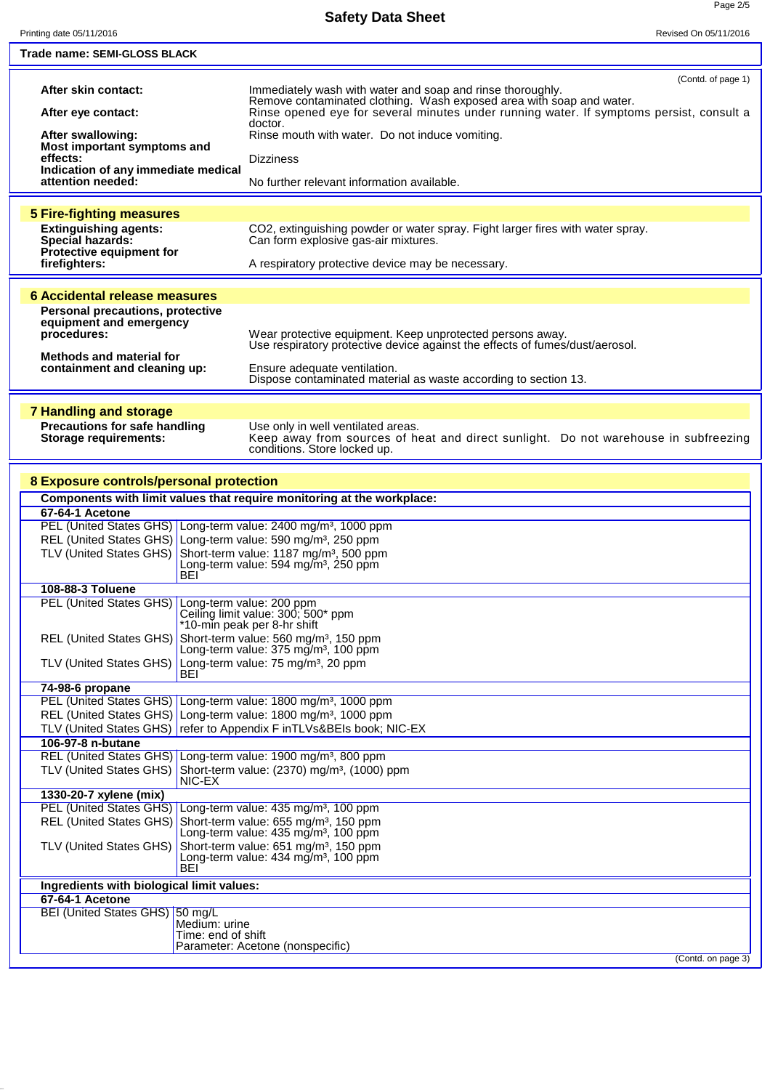| Printing date 05/11/2016                                                                                                                                                                                                             | Revised On 05/11/2016                                                                                                                                                                                                                                           |
|--------------------------------------------------------------------------------------------------------------------------------------------------------------------------------------------------------------------------------------|-----------------------------------------------------------------------------------------------------------------------------------------------------------------------------------------------------------------------------------------------------------------|
| Trade name: SEMI-GLOSS BLACK                                                                                                                                                                                                         |                                                                                                                                                                                                                                                                 |
| After skin contact:<br>After eye contact:                                                                                                                                                                                            | (Contd. of page 1)<br>Immediately wash with water and soap and rinse thoroughly.<br>Remove contaminated clothing. Wash exposed area with soap and water.<br>Rinse opened eye for several minutes under running water. If symptoms persist, consult a<br>doctor. |
| After swallowing:                                                                                                                                                                                                                    | Rinse mouth with water. Do not induce vomiting.                                                                                                                                                                                                                 |
| Most important symptoms and<br>effects:                                                                                                                                                                                              | <b>Dizziness</b>                                                                                                                                                                                                                                                |
| Indication of any immediate medical<br>attention needed:                                                                                                                                                                             | No further relevant information available.                                                                                                                                                                                                                      |
| <b>5 Fire-fighting measures</b>                                                                                                                                                                                                      |                                                                                                                                                                                                                                                                 |
| <b>Extinguishing agents:</b><br><b>Special hazards:</b><br>Protective equipment for                                                                                                                                                  | CO2, extinguishing powder or water spray. Fight larger fires with water spray.<br>Can form explosive gas-air mixtures.                                                                                                                                          |
| firefighters:                                                                                                                                                                                                                        | A respiratory protective device may be necessary.                                                                                                                                                                                                               |
| 6 Accidental release measures<br><b>Personal precautions, protective</b><br>equipment and emergency<br>procedures:<br>Methods and material for<br>containment and cleaning up:                                                       | Wear protective equipment. Keep unprotected persons away.<br>Use respiratory protective device against the effects of fumes/dust/aerosol.<br>Ensure adequate ventilation.<br>Dispose contaminated material as waste according to section 13.                    |
|                                                                                                                                                                                                                                      |                                                                                                                                                                                                                                                                 |
| <b>7 Handling and storage</b><br><b>Precautions for safe handling</b><br><b>Storage requirements:</b>                                                                                                                                | Use only in well ventilated areas.<br>Keep away from sources of heat and direct sunlight. Do not warehouse in subfreezing conditions. Store locked up.                                                                                                          |
| 8 Exposure controls/personal protection                                                                                                                                                                                              |                                                                                                                                                                                                                                                                 |
| Components with limit values that require monitoring at the workplace:                                                                                                                                                               |                                                                                                                                                                                                                                                                 |
| 67-64-1 Acetone                                                                                                                                                                                                                      |                                                                                                                                                                                                                                                                 |
| PEL (United States GHS) Long-term value: 2400 mg/m <sup>3</sup> , 1000 ppm<br>REL (United States GHS) Long-term value: 590 mg/m <sup>3</sup> , 250 ppm<br>TLV (United States GHS) Short-term value: 1187 mg/m <sup>3</sup> , 500 ppm | Long-term value: 594 mg/m <sup>3</sup> , 250 ppm                                                                                                                                                                                                                |
| <b>BEI</b><br>108-88-3 Toluene                                                                                                                                                                                                       |                                                                                                                                                                                                                                                                 |
| PEL (United States GHS) Long-term value: 200 ppm                                                                                                                                                                                     | Ceiling limit value: 300; 500* ppm<br>*10-min peak per 8-hr shift                                                                                                                                                                                               |
| REL (United States GHS) Short-term value: 560 mg/m <sup>3</sup> , 150 ppm                                                                                                                                                            | Long-term value: 375 mg/m <sup>3</sup> , 100 ppm                                                                                                                                                                                                                |
| TLV (United States GHS) Long-term value: 75 mg/m <sup>3</sup> , 20 ppm<br>BEI                                                                                                                                                        |                                                                                                                                                                                                                                                                 |
| 74-98-6 propane<br>PEL (United States GHS) Long-term value: 1800 mg/m <sup>3</sup> , 1000 ppm                                                                                                                                        |                                                                                                                                                                                                                                                                 |
| REL (United States GHS) Long-term value: 1800 mg/m <sup>3</sup> , 1000 ppm                                                                                                                                                           |                                                                                                                                                                                                                                                                 |
| TLV (United States GHS) refer to Appendix F in TLVs&BEIs book; NIC-EX<br>106-97-8 n-butane                                                                                                                                           |                                                                                                                                                                                                                                                                 |
| REL (United States GHS) Long-term value: 1900 mg/m <sup>3</sup> , 800 ppm                                                                                                                                                            |                                                                                                                                                                                                                                                                 |
| TLV (United States GHS) Short-term value: (2370) mg/m <sup>3</sup> , (1000) ppm<br>NIC-EX                                                                                                                                            |                                                                                                                                                                                                                                                                 |
| 1330-20-7 xylene (mix)<br>PEL (United States GHS) Long-term value: 435 mg/m <sup>3</sup> , 100 ppm                                                                                                                                   |                                                                                                                                                                                                                                                                 |
| REL (United States GHS) Short-term value: 655 mg/m <sup>3</sup> , 150 ppm                                                                                                                                                            |                                                                                                                                                                                                                                                                 |
| TLV (United States GHS) Short-term value: 651 mg/m <sup>3</sup> , 150 ppm<br>BEI                                                                                                                                                     | Long-term value: 435 mg/m <sup>3</sup> , 100 ppm<br>Long-term value: $434 \text{ mg/m}^3$ , 100 ppm                                                                                                                                                             |
| Ingredients with biological limit values:<br>67-64-1 Acetone                                                                                                                                                                         |                                                                                                                                                                                                                                                                 |
| BEI (United States GHS) 50 mg/L<br>Medium: urine<br>Time: end of shift                                                                                                                                                               | Parameter: Acetone (nonspecific)<br>(Contd. on page 3)                                                                                                                                                                                                          |
|                                                                                                                                                                                                                                      |                                                                                                                                                                                                                                                                 |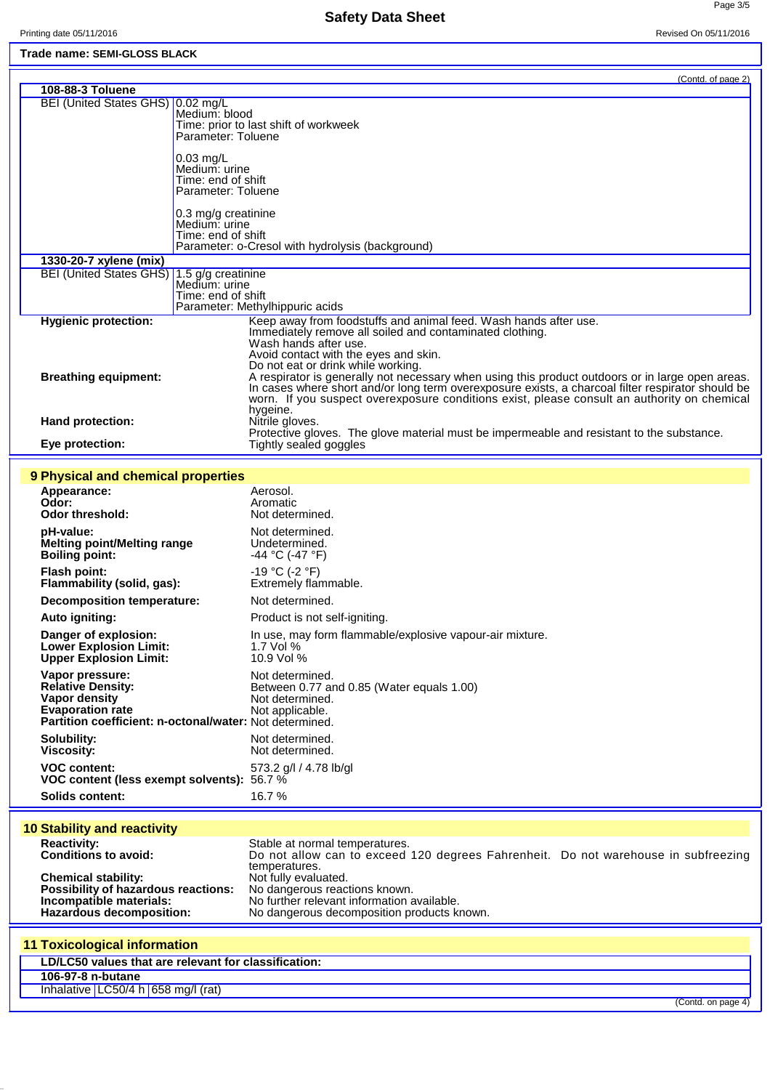Ē

L

Page 3/5

## **Trade name: SEMI-GLOSS BLACK**

|                                                         |                     | (Contd. of page 2)                                                                                                                                                                               |
|---------------------------------------------------------|---------------------|--------------------------------------------------------------------------------------------------------------------------------------------------------------------------------------------------|
| 108-88-3 Toluene                                        |                     |                                                                                                                                                                                                  |
| BEI (United States GHS) 0.02 mg/L                       | Medium: blood       |                                                                                                                                                                                                  |
|                                                         |                     | Time: prior to last shift of workweek                                                                                                                                                            |
|                                                         | Parameter: Toluene  |                                                                                                                                                                                                  |
|                                                         | $0.03$ mg/L         |                                                                                                                                                                                                  |
|                                                         | Medium: urine       |                                                                                                                                                                                                  |
|                                                         | Time: end of shift  |                                                                                                                                                                                                  |
|                                                         | Parameter: Toluene  |                                                                                                                                                                                                  |
|                                                         | 0.3 mg/g creatinine |                                                                                                                                                                                                  |
|                                                         | Medium: urine       |                                                                                                                                                                                                  |
|                                                         | Time: end of shift  |                                                                                                                                                                                                  |
|                                                         |                     | Parameter: o-Cresol with hydrolysis (background)                                                                                                                                                 |
| 1330-20-7 xylene (mix)                                  |                     |                                                                                                                                                                                                  |
| BEI (United States GHS) 1.5 g/g creatinine              |                     |                                                                                                                                                                                                  |
|                                                         | Time: end of shift  |                                                                                                                                                                                                  |
|                                                         |                     | Parameter: Methylhippuric acids                                                                                                                                                                  |
| <b>Hygienic protection:</b>                             |                     | Keep away from foodstuffs and animal feed. Wash hands after use.                                                                                                                                 |
|                                                         |                     | Immediately remove all soiled and contaminated clothing.<br>Wash hands after use.                                                                                                                |
|                                                         |                     | Avoid contact with the eyes and skin.                                                                                                                                                            |
|                                                         |                     | Do not eat or drink while working.                                                                                                                                                               |
| <b>Breathing equipment:</b>                             |                     | A respirator is generally not necessary when using this product outdoors or in large open areas.                                                                                                 |
|                                                         |                     | In cases where short and/or long term overexposure exists, a charcoal filter respirator should be<br>worn. If you suspect overexposure conditions exist, please consult an authority on chemical |
|                                                         |                     | hygeine.                                                                                                                                                                                         |
| Hand protection:                                        |                     | Nitrile gloves.                                                                                                                                                                                  |
|                                                         |                     | Protective gloves. The glove material must be impermeable and resistant to the substance.                                                                                                        |
| Eye protection:                                         |                     | Tightly sealed goggles                                                                                                                                                                           |
|                                                         |                     |                                                                                                                                                                                                  |
| 9 Physical and chemical properties                      |                     |                                                                                                                                                                                                  |
| Appearance:<br>Odor:                                    |                     | Aerosol.<br>Aromatic                                                                                                                                                                             |
| <b>Odor threshold:</b>                                  |                     | Not determined.                                                                                                                                                                                  |
| pH-value:                                               |                     | Not determined.                                                                                                                                                                                  |
| <b>Melting point/Melting range</b>                      |                     | Undetermined.                                                                                                                                                                                    |
| <b>Boiling point:</b>                                   |                     | -44 °C (-47 °F)                                                                                                                                                                                  |
| <b>Flash point:</b>                                     |                     | -19 °C (-2 °F)                                                                                                                                                                                   |
| Flammability (solid, gas):                              |                     | Extremely flammable.                                                                                                                                                                             |
| <b>Decomposition temperature:</b>                       |                     | Not determined.                                                                                                                                                                                  |
| Auto igniting:                                          |                     | Product is not self-igniting.                                                                                                                                                                    |
| Danger of explosion:                                    |                     |                                                                                                                                                                                                  |
| <b>Lower Explosion Limit:</b>                           |                     | In use, may form flammable/explosive vapour-air mixture.<br>1.7 Vol %                                                                                                                            |
| <b>Upper Explosion Limit:</b>                           |                     | 10.9 Vol %                                                                                                                                                                                       |
| Vapor pressure:                                         |                     | Not determined.                                                                                                                                                                                  |
| <b>Relative Density:</b>                                |                     | Between 0.77 and 0.85 (Water equals 1.00)                                                                                                                                                        |
| Vapor density                                           |                     | Not determined.                                                                                                                                                                                  |
| <b>Evaporation rate</b>                                 |                     | Not applicable.                                                                                                                                                                                  |
| Partition coefficient: n-octonal/water: Not determined. |                     |                                                                                                                                                                                                  |
| Solubility:                                             |                     | Not determined.                                                                                                                                                                                  |
| <b>Viscosity:</b>                                       |                     | Not determined.                                                                                                                                                                                  |
| <b>VOC content:</b>                                     |                     | 573.2 g/l / 4.78 lb/gl                                                                                                                                                                           |
| VOC content (less exempt solvents): 56.7 %              |                     |                                                                                                                                                                                                  |
| <b>Solids content:</b>                                  |                     | 16.7%                                                                                                                                                                                            |
|                                                         |                     |                                                                                                                                                                                                  |
| <b>10 Stability and reactivity</b>                      |                     |                                                                                                                                                                                                  |
| <b>Reactivity:</b><br><b>Conditions to avoid:</b>       |                     | Stable at normal temperatures.                                                                                                                                                                   |
|                                                         |                     | Do not allow can to exceed 120 degrees Fahrenheit. Do not warehouse in subfreezing<br>temperatures.                                                                                              |
| <b>Chemical stability:</b>                              |                     | Not fully evaluated.                                                                                                                                                                             |
| Possibility of hazardous reactions:                     |                     | No dangerous reactions known.                                                                                                                                                                    |
| Incompatible materials:                                 |                     | No further relevant information available.                                                                                                                                                       |
| Hazardous decomposition:                                |                     | No dangerous decomposition products known.                                                                                                                                                       |
|                                                         |                     |                                                                                                                                                                                                  |
| <b>11 Toxicological information</b>                     |                     |                                                                                                                                                                                                  |
| LD/LC50 values that are relevant for classification:    |                     |                                                                                                                                                                                                  |
| 106-97-8 n-butane                                       |                     |                                                                                                                                                                                                  |
| Inhalative LC50/4 h 658 mg/l (rat)                      |                     |                                                                                                                                                                                                  |

(Contd. on page 4)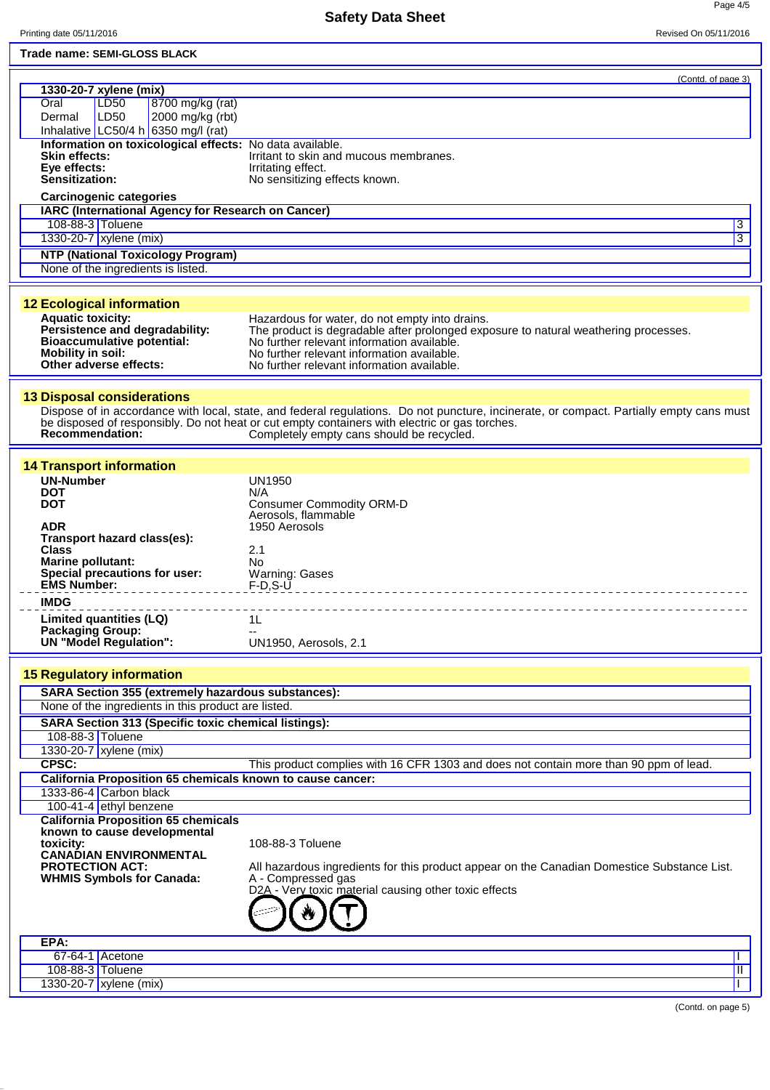Page 4/5

| Trade name: SEMI-GLOSS BLACK                                      |                                                                                                                                         |
|-------------------------------------------------------------------|-----------------------------------------------------------------------------------------------------------------------------------------|
|                                                                   | (Contd. of page 3)                                                                                                                      |
| 1330-20-7 xylene (mix)                                            |                                                                                                                                         |
| LD <sub>50</sub><br>8700 mg/kg (rat)<br>Oral<br>LD50              |                                                                                                                                         |
| 2000 mg/kg (rbt)<br>Dermal<br>Inhalative LC50/4 h 6350 mg/l (rat) |                                                                                                                                         |
| Information on toxicological effects: No data available.          |                                                                                                                                         |
| <b>Skin effects:</b>                                              | Irritant to skin and mucous membranes.                                                                                                  |
| Eye effects:                                                      | Irritating effect.                                                                                                                      |
| Sensitization:                                                    | No sensitizing effects known.                                                                                                           |
| <b>Carcinogenic categories</b>                                    |                                                                                                                                         |
| IARC (International Agency for Research on Cancer)                |                                                                                                                                         |
| 108-88-3 Toluene                                                  | 3                                                                                                                                       |
| 1330-20-7 xylene (mix)                                            | 3                                                                                                                                       |
| <b>NTP (National Toxicology Program)</b>                          |                                                                                                                                         |
| None of the ingredients is listed.                                |                                                                                                                                         |
|                                                                   |                                                                                                                                         |
| <b>12 Ecological information</b>                                  |                                                                                                                                         |
| <b>Aquatic toxicity:</b>                                          | Hazardous for water, do not empty into drains.                                                                                          |
| Persistence and degradability:                                    | The product is degradable after prolonged exposure to natural weathering processes.<br>No further relevant information available.       |
| <b>Bioaccumulative potential:</b><br><b>Mobility in soil:</b>     | No further relevant information available.                                                                                              |
| Other adverse effects:                                            | No further relevant information available.                                                                                              |
|                                                                   |                                                                                                                                         |
| <b>13 Disposal considerations</b>                                 |                                                                                                                                         |
|                                                                   | Dispose of in accordance with local, state, and federal regulations. Do not puncture, incinerate, or compact. Partially empty cans must |
|                                                                   | be disposed of responsibly. Do not heat or cut empty containers with electric or gas torches.                                           |
| Recommendation:                                                   | Completely empty cans should be recycled.                                                                                               |
|                                                                   |                                                                                                                                         |
| <b>14 Transport information</b>                                   |                                                                                                                                         |
| <b>UN-Number</b><br><b>DOT</b>                                    | <b>UN1950</b><br>N/A                                                                                                                    |
| <b>DOT</b>                                                        | <b>Consumer Commodity ORM-D</b>                                                                                                         |
|                                                                   | Aerosols, flammable                                                                                                                     |
| <b>ADR</b>                                                        | 1950 Aerosols                                                                                                                           |
| Transport hazard class(es):<br><b>Class</b>                       | 2.1                                                                                                                                     |
| <b>Marine pollutant:</b>                                          | No                                                                                                                                      |
| Special precautions for user:                                     | <b>Warning: Gases</b>                                                                                                                   |
| <b>EMS Number:</b>                                                | $F-D.S-U$                                                                                                                               |
| <b>IMDG</b>                                                       |                                                                                                                                         |
| Limited quantities (LQ)                                           | 1L                                                                                                                                      |
| <b>Packaging Group:</b><br><b>UN "Model Regulation":</b>          | UN1950, Aerosols, 2.1                                                                                                                   |
|                                                                   |                                                                                                                                         |
| <b>15 Regulatory information</b>                                  |                                                                                                                                         |
| SARA Section 355 (extremely hazardous substances):                |                                                                                                                                         |
| None of the ingredients in this product are listed.               |                                                                                                                                         |
| <b>SARA Section 313 (Specific toxic chemical listings):</b>       |                                                                                                                                         |
| 108-88-3 Toluene                                                  |                                                                                                                                         |
| 1330-20-7 xylene (mix)                                            |                                                                                                                                         |
| CPSC:                                                             | This product complies with 16 CFR 1303 and does not contain more than 90 ppm of lead.                                                   |
| California Proposition 65 chemicals known to cause cancer:        |                                                                                                                                         |
| 1333-86-4 Carbon black                                            |                                                                                                                                         |
| 100-41-4 ethyl benzene                                            |                                                                                                                                         |
| <b>California Proposition 65 chemicals</b>                        |                                                                                                                                         |
| known to cause developmental<br>toxicity:                         | 108-88-3 Toluene                                                                                                                        |
| <b>CANADIAN ENVIRONMENTAL</b>                                     |                                                                                                                                         |
| <b>PROTECTION ACT:</b>                                            | All hazardous ingredients for this product appear on the Canadian Domestice Substance List.                                             |
| <b>WHMIS Symbols for Canada:</b>                                  | A - Compressed gas<br>D2A - Very toxic material causing other toxic effects                                                             |
|                                                                   |                                                                                                                                         |
|                                                                   |                                                                                                                                         |
|                                                                   |                                                                                                                                         |
| EPA:                                                              |                                                                                                                                         |
| $67-64-1$ Acetone                                                 |                                                                                                                                         |
| 108-88-3 Toluene                                                  | Ш                                                                                                                                       |
| 1330-20-7   xylene (mix)                                          |                                                                                                                                         |